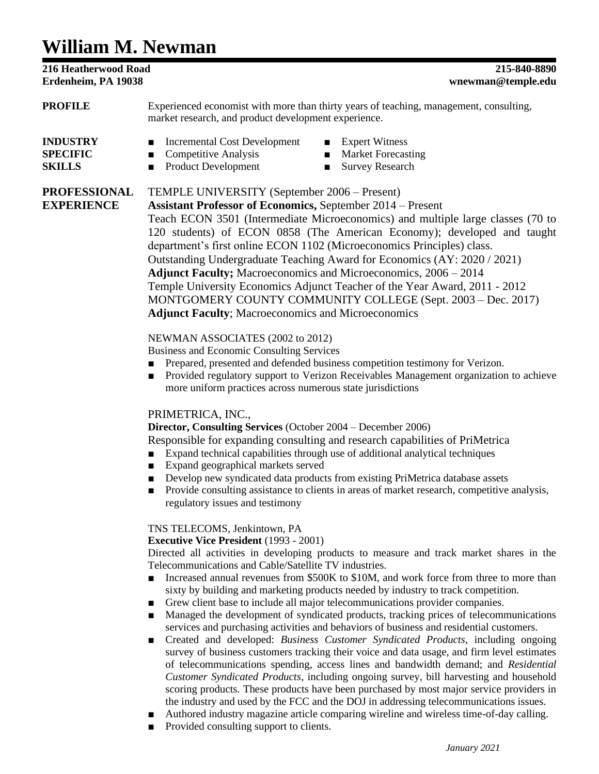# **William M. Newman**

**216 Heatherwood Road 215-840-8890 Erdenheim, PA 19038 wnewman@temple.edu PROFILE** Experienced economist with more than thirty years of teaching, management, consulting, market research, and product development experience. **INDUSTRY** ■ Incremental Cost Development ■ Expert Witness **SPECIFIC** ■ Competitive Analysis ■ Market Forecasting **SKILLS** ■ Product Development ■ Survey Research **PROFESSIONAL** TEMPLE UNIVERSITY (September 2006 – Present) **EXPERIENCE Assistant Professor of Economics,** September 2014 – Present Teach ECON 3501 (Intermediate Microeconomics) and multiple large classes (70 to 120 students) of ECON 0858 (The American Economy); developed and taught department's first online ECON 1102 (Microeconomics Principles) class. Outstanding Undergraduate Teaching Award for Economics (AY: 2020 / 2021) **Adjunct Faculty;** Macroeconomics and Microeconomics, 2006 – 2014 Temple University Economics Adjunct Teacher of the Year Award, 2011 - 2012 MONTGOMERY COUNTY COMMUNITY COLLEGE (Sept. 2003 – Dec. 2017) **Adjunct Faculty**; Macroeconomics and Microeconomics NEWMAN ASSOCIATES (2002 to 2012) Business and Economic Consulting Services ■ Prepared, presented and defended business competition testimony for Verizon. ■ Provided regulatory support to Verizon Receivables Management organization to achieve more uniform practices across numerous state jurisdictions

# PRIMETRICA, INC.,

**Director, Consulting Services** (October 2004 – December 2006)

Responsible for expanding consulting and research capabilities of PriMetrica

- Expand technical capabilities through use of additional analytical techniques
- Expand geographical markets served
- Develop new syndicated data products from existing PriMetrica database assets
- Provide consulting assistance to clients in areas of market research, competitive analysis, regulatory issues and testimony

# TNS TELECOMS*,* Jenkintown, PA

# **Executive Vice President** (1993 - 2001)

Directed all activities in developing products to measure and track market shares in the Telecommunications and Cable/Satellite TV industries.

- Increased annual revenues from \$500K to \$10M, and work force from three to more than sixty by building and marketing products needed by industry to track competition.
- Grew client base to include all major telecommunications provider companies.
- Managed the development of syndicated products, tracking prices of telecommunications services and purchasing activities and behaviors of business and residential customers.
- Created and developed: *Business Customer Syndicated Products*, including ongoing survey of business customers tracking their voice and data usage, and firm level estimates of telecommunications spending, access lines and bandwidth demand; and *Residential Customer Syndicated Products*, including ongoing survey, bill harvesting and household scoring products. These products have been purchased by most major service providers in the industry and used by the FCC and the DOJ in addressing telecommunications issues.
- Authored industry magazine article comparing wireline and wireless time-of-day calling.
- Provided consulting support to clients.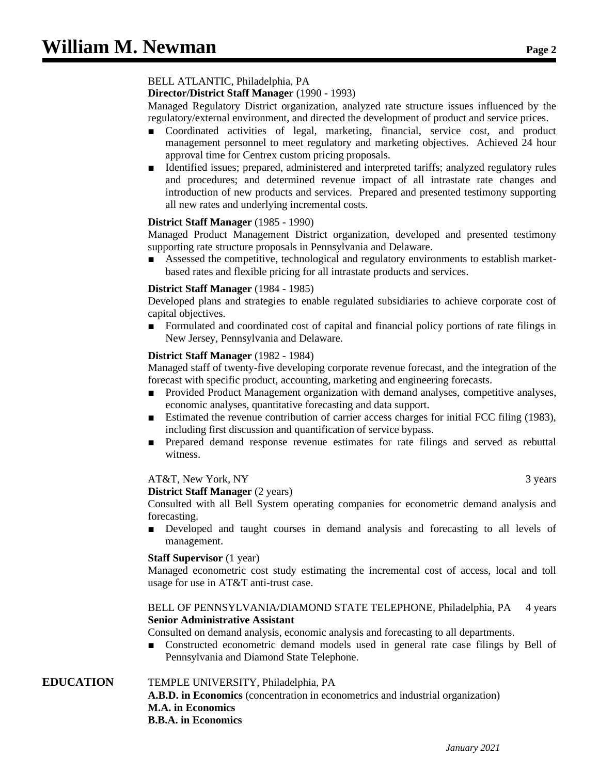# BELL ATLANTIC, Philadelphia, PA

**Director/District Staff Manager** (1990 - 1993)

Managed Regulatory District organization, analyzed rate structure issues influenced by the regulatory/external environment, and directed the development of product and service prices.

- Coordinated activities of legal, marketing, financial, service cost, and product management personnel to meet regulatory and marketing objectives. Achieved 24 hour approval time for Centrex custom pricing proposals.
- Identified issues; prepared, administered and interpreted tariffs; analyzed regulatory rules and procedures; and determined revenue impact of all intrastate rate changes and introduction of new products and services. Prepared and presented testimony supporting all new rates and underlying incremental costs.

#### **District Staff Manager** (1985 - 1990)

Managed Product Management District organization, developed and presented testimony supporting rate structure proposals in Pennsylvania and Delaware.

■ Assessed the competitive, technological and regulatory environments to establish marketbased rates and flexible pricing for all intrastate products and services.

#### **District Staff Manager** (1984 - 1985)

Developed plans and strategies to enable regulated subsidiaries to achieve corporate cost of capital objectives.

■ Formulated and coordinated cost of capital and financial policy portions of rate filings in New Jersey, Pennsylvania and Delaware.

#### **District Staff Manager** (1982 - 1984)

Managed staff of twenty-five developing corporate revenue forecast, and the integration of the forecast with specific product, accounting, marketing and engineering forecasts.

- Provided Product Management organization with demand analyses, competitive analyses, economic analyses, quantitative forecasting and data support.
- Estimated the revenue contribution of carrier access charges for initial FCC filing (1983), including first discussion and quantification of service bypass.
- Prepared demand response revenue estimates for rate filings and served as rebuttal witness.

#### AT&T, New York, NY 3 years 3 years 3

**District Staff Manager** (2 years)

Consulted with all Bell System operating companies for econometric demand analysis and forecasting.

■ Developed and taught courses in demand analysis and forecasting to all levels of management.

#### **Staff Supervisor** (1 year)

Managed econometric cost study estimating the incremental cost of access, local and toll usage for use in AT&T anti-trust case.

### BELL OF PENNSYLVANIA/DIAMOND STATE TELEPHONE, Philadelphia, PA 4 years **Senior Administrative Assistant**

Consulted on demand analysis, economic analysis and forecasting to all departments.

Constructed econometric demand models used in general rate case filings by Bell of Pennsylvania and Diamond State Telephone.

# **EDUCATION** TEMPLE UNIVERSITY, Philadelphia, PA

**A.B.D. in Economics** (concentration in econometrics and industrial organization) **M.A. in Economics B.B.A. in Economics**